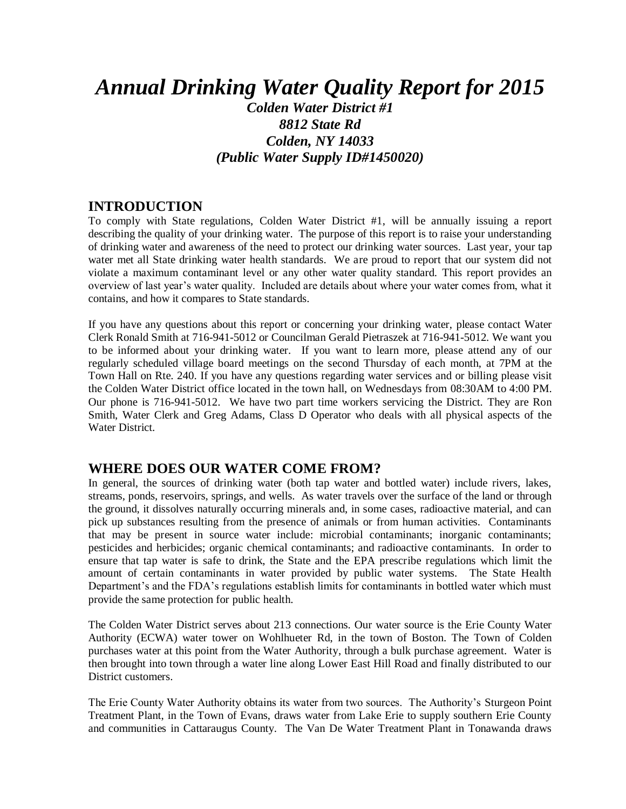# *Annual Drinking Water Quality Report for 2015*

*Colden Water District #1 8812 State Rd Colden, NY 14033 (Public Water Supply ID#1450020)*

#### **INTRODUCTION**

To comply with State regulations, Colden Water District #1, will be annually issuing a report describing the quality of your drinking water. The purpose of this report is to raise your understanding of drinking water and awareness of the need to protect our drinking water sources. Last year, your tap water met all State drinking water health standards. We are proud to report that our system did not violate a maximum contaminant level or any other water quality standard. This report provides an overview of last year's water quality. Included are details about where your water comes from, what it contains, and how it compares to State standards.

If you have any questions about this report or concerning your drinking water, please contact Water Clerk Ronald Smith at 716-941-5012 or Councilman Gerald Pietraszek at 716-941-5012. We want you to be informed about your drinking water. If you want to learn more, please attend any of our regularly scheduled village board meetings on the second Thursday of each month, at 7PM at the Town Hall on Rte. 240. If you have any questions regarding water services and or billing please visit the Colden Water District office located in the town hall, on Wednesdays from 08:30AM to 4:00 PM. Our phone is 716-941-5012. We have two part time workers servicing the District. They are Ron Smith, Water Clerk and Greg Adams, Class D Operator who deals with all physical aspects of the Water District.

#### **WHERE DOES OUR WATER COME FROM?**

In general, the sources of drinking water (both tap water and bottled water) include rivers, lakes, streams, ponds, reservoirs, springs, and wells. As water travels over the surface of the land or through the ground, it dissolves naturally occurring minerals and, in some cases, radioactive material, and can pick up substances resulting from the presence of animals or from human activities. Contaminants that may be present in source water include: microbial contaminants; inorganic contaminants; pesticides and herbicides; organic chemical contaminants; and radioactive contaminants. In order to ensure that tap water is safe to drink, the State and the EPA prescribe regulations which limit the amount of certain contaminants in water provided by public water systems. The State Health Department's and the FDA's regulations establish limits for contaminants in bottled water which must provide the same protection for public health.

The Colden Water District serves about 213 connections. Our water source is the Erie County Water Authority (ECWA) water tower on Wohlhueter Rd, in the town of Boston. The Town of Colden purchases water at this point from the Water Authority, through a bulk purchase agreement. Water is then brought into town through a water line along Lower East Hill Road and finally distributed to our District customers.

The Erie County Water Authority obtains its water from two sources. The Authority's Sturgeon Point Treatment Plant, in the Town of Evans, draws water from Lake Erie to supply southern Erie County and communities in Cattaraugus County. The Van De Water Treatment Plant in Tonawanda draws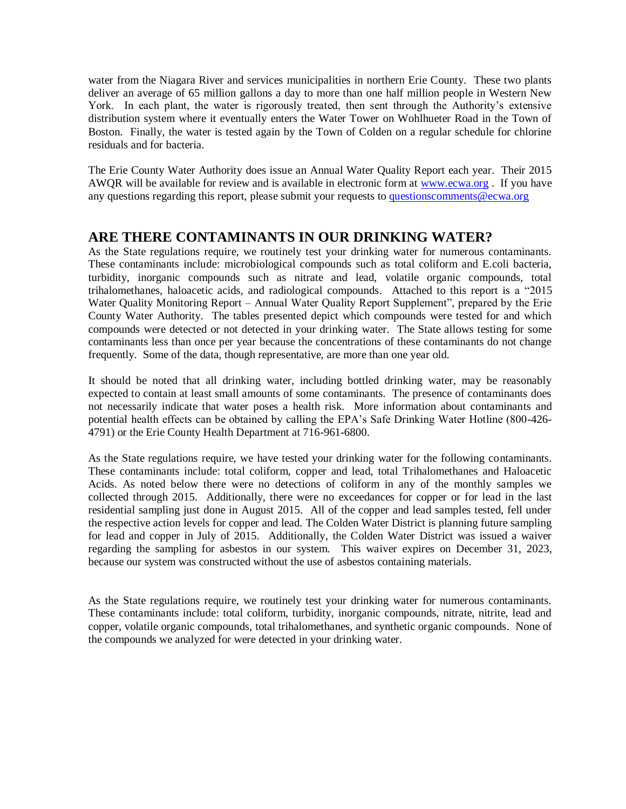water from the Niagara River and services municipalities in northern Erie County. These two plants deliver an average of 65 million gallons a day to more than one half million people in Western New York. In each plant, the water is rigorously treated, then sent through the Authority's extensive distribution system where it eventually enters the Water Tower on Wohlhueter Road in the Town of Boston. Finally, the water is tested again by the Town of Colden on a regular schedule for chlorine residuals and for bacteria.

The Erie County Water Authority does issue an Annual Water Quality Report each year. Their 2015 AWQR will be available for review and is available in electronic form at [www.ecwa.org](http://www.ecwa.org/) . If you have any questions regarding this report, please submit your requests t[o questionscomments@ecwa.org](mailto:questionscomments@ecwa.org)

#### **ARE THERE CONTAMINANTS IN OUR DRINKING WATER?**

As the State regulations require, we routinely test your drinking water for numerous contaminants. These contaminants include: microbiological compounds such as total coliform and E.coli bacteria, turbidity, inorganic compounds such as nitrate and lead, volatile organic compounds, total trihalomethanes, haloacetic acids, and radiological compounds. Attached to this report is a "2015 Water Quality Monitoring Report – Annual Water Quality Report Supplement", prepared by the Erie County Water Authority. The tables presented depict which compounds were tested for and which compounds were detected or not detected in your drinking water. The State allows testing for some contaminants less than once per year because the concentrations of these contaminants do not change frequently. Some of the data, though representative, are more than one year old.

It should be noted that all drinking water, including bottled drinking water, may be reasonably expected to contain at least small amounts of some contaminants. The presence of contaminants does not necessarily indicate that water poses a health risk. More information about contaminants and potential health effects can be obtained by calling the EPA's Safe Drinking Water Hotline (800-426- 4791) or the Erie County Health Department at 716-961-6800.

As the State regulations require, we have tested your drinking water for the following contaminants. These contaminants include: total coliform, copper and lead, total Trihalomethanes and Haloacetic Acids. As noted below there were no detections of coliform in any of the monthly samples we collected through 2015. Additionally, there were no exceedances for copper or for lead in the last residential sampling just done in August 2015. All of the copper and lead samples tested, fell under the respective action levels for copper and lead. The Colden Water District is planning future sampling for lead and copper in July of 2015. Additionally, the Colden Water District was issued a waiver regarding the sampling for asbestos in our system. This waiver expires on December 31, 2023, because our system was constructed without the use of asbestos containing materials.

As the State regulations require, we routinely test your drinking water for numerous contaminants. These contaminants include: total coliform, turbidity, inorganic compounds, nitrate, nitrite, lead and copper, volatile organic compounds, total trihalomethanes, and synthetic organic compounds. None of the compounds we analyzed for were detected in your drinking water.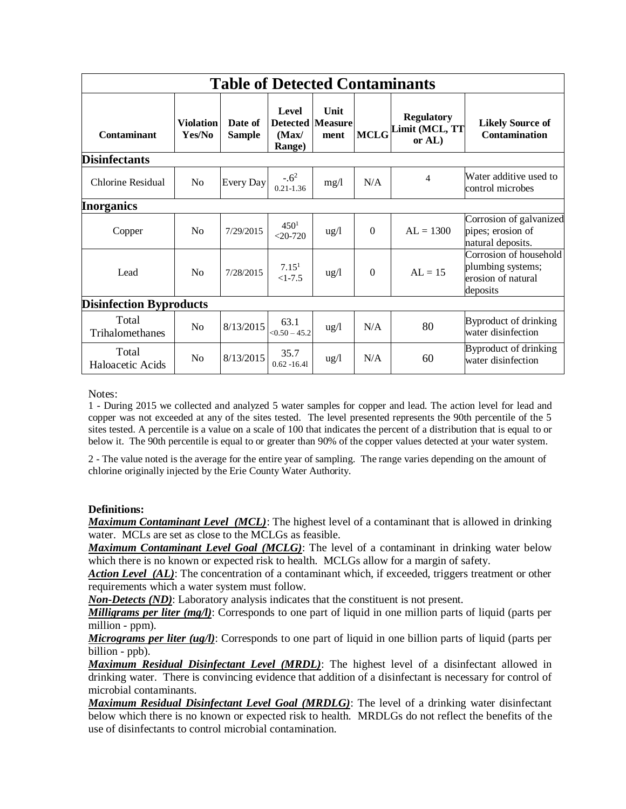| <b>Table of Detected Contaminants</b> |                            |                          |                                                            |                 |             |                                                 |                                                                               |
|---------------------------------------|----------------------------|--------------------------|------------------------------------------------------------|-----------------|-------------|-------------------------------------------------|-------------------------------------------------------------------------------|
| <b>Contaminant</b>                    | <b>Violation</b><br>Yes/No | Date of<br><b>Sample</b> | <b>Level</b><br><b>Detected Measure</b><br>(Max)<br>Range) | Unit<br>ment    | <b>MCLG</b> | <b>Regulatory</b><br>imit (MCL, TT<br>or $AL$ ) | <b>Likely Source of</b><br><b>Contamination</b>                               |
| <b>Disinfectants</b>                  |                            |                          |                                                            |                 |             |                                                 |                                                                               |
| <b>Chlorine Residual</b>              | No                         | Every Day                | $-.62$<br>$0.21 - 1.36$                                    | mg/1            | N/A         | 4                                               | Water additive used to<br>control microbes                                    |
| Inorganics                            |                            |                          |                                                            |                 |             |                                                 |                                                                               |
| Copper                                | N <sub>0</sub>             | 7/29/2015                | 450 <sup>1</sup><br>$< 20 - 720$                           | $\frac{u g}{l}$ | $\theta$    | $AL = 1300$                                     | Corrosion of galvanized<br>pipes; erosion of<br>natural deposits.             |
| Lead                                  | No                         | 7/28/2015                | 7.15 <sup>1</sup><br>$<1-7.5$                              | $\frac{u g}{l}$ | $\theta$    | $AL = 15$                                       | Corrosion of household<br>plumbing systems;<br>erosion of natural<br>deposits |
| <b>Disinfection Byproducts</b>        |                            |                          |                                                            |                 |             |                                                 |                                                                               |
| Total<br>Trihalomethanes              | N <sub>o</sub>             | 8/13/2015                | 63.1<br>$< 0.50 - 45.2$                                    | $\frac{u g}{l}$ | N/A         | 80                                              | Byproduct of drinking<br>water disinfection                                   |
| Total<br>Haloacetic Acids             | N <sub>0</sub>             | 8/13/2015                | 35.7<br>$0.62 - 16.41$                                     | $\frac{u g}{l}$ | N/A         | 60                                              | Byproduct of drinking<br>water disinfection                                   |

Notes:

1 - During 2015 we collected and analyzed 5 water samples for copper and lead. The action level for lead and copper was not exceeded at any of the sites tested. The level presented represents the 90th percentile of the 5 sites tested. A percentile is a value on a scale of 100 that indicates the percent of a distribution that is equal to or below it. The 90th percentile is equal to or greater than 90% of the copper values detected at your water system.

2 - The value noted is the average for the entire year of sampling. The range varies depending on the amount of chlorine originally injected by the Erie County Water Authority.

#### **Definitions:**

*Maximum Contaminant Level (MCL)*: The highest level of a contaminant that is allowed in drinking water. MCLs are set as close to the MCLGs as feasible.

*Maximum Contaminant Level Goal (MCLG)*: The level of a contaminant in drinking water below which there is no known or expected risk to health. MCLGs allow for a margin of safety.

*Action Level (AL)*: The concentration of a contaminant which, if exceeded, triggers treatment or other requirements which a water system must follow.

*Non-Detects (ND)*: Laboratory analysis indicates that the constituent is not present.

*Milligrams per liter (mg/l)*: Corresponds to one part of liquid in one million parts of liquid (parts per million - ppm).

*Micrograms per liter (ug/l)*: Corresponds to one part of liquid in one billion parts of liquid (parts per billion - ppb).

*Maximum Residual Disinfectant Level (MRDL)*: The highest level of a disinfectant allowed in drinking water. There is convincing evidence that addition of a disinfectant is necessary for control of microbial contaminants.

*Maximum Residual Disinfectant Level Goal (MRDLG)*: The level of a drinking water disinfectant below which there is no known or expected risk to health. MRDLGs do not reflect the benefits of the use of disinfectants to control microbial contamination.